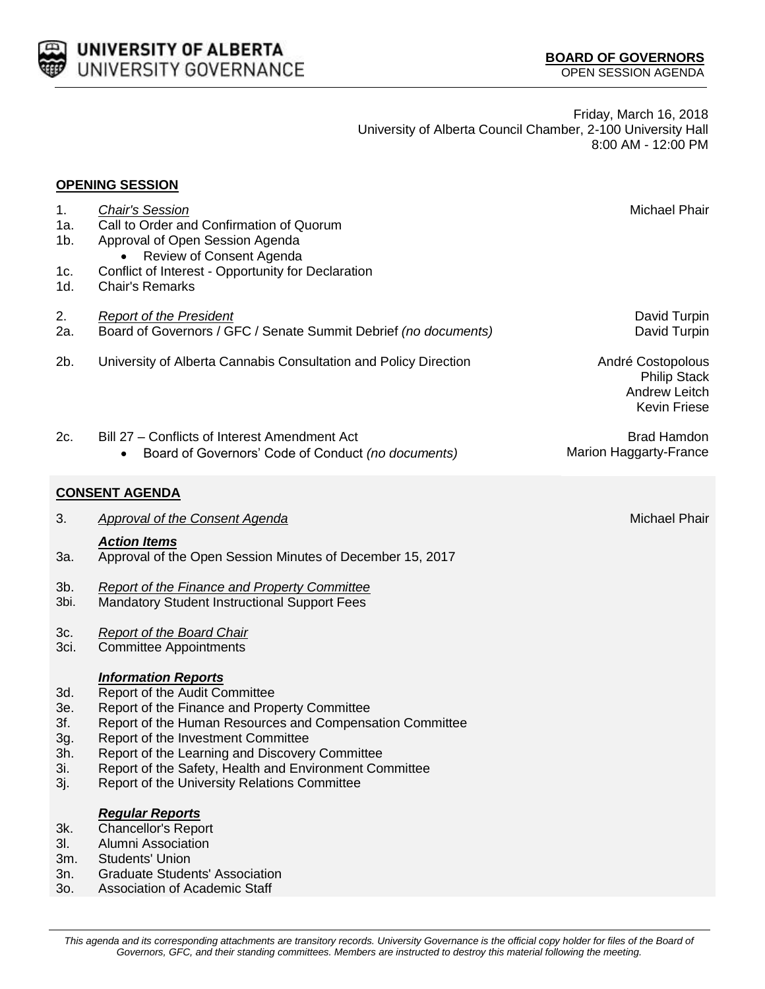

**OPENING SESSION**

Friday, March 16, 2018 University of Alberta Council Chamber, 2-100 University Hall 8:00 AM - 12:00 PM

## 1. *Chair's Session* Michael Phair 1a. Call to Order and Confirmation of Quorum 1b. Approval of Open Session Agenda • Review of Consent Agenda 1c. Conflict of Interest - Opportunity for Declaration 1d. Chair's Remarks 2. *Report of the President* David Turpin 2a. Board of Governors / GFC / Senate Summit Debrief *(no documents)* David Turpin 2b. University of Alberta Cannabis Consultation and Policy Direction **André Costopolous** 2c. Bill 27 – Conflicts of Interest Amendment Act Board of Governors' Code of Conduct *(no documents)* **CONSENT AGENDA** 3. *Approval of the Consent Agenda* Michael Phair *Action Items* 3a. Approval of the Open Session Minutes of December 15, 2017 3b. *Report of the Finance and Property Committee* 3bi. Mandatory Student Instructional Support Fees 3c. *Report of the Board Chair* 3ci. Committee Appointments *Information Reports* 3d. Report of the Audit Committee 3e. Report of the Finance and Property Committee 3f. Report of the Human Resources and Compensation Committee 3g. Report of the Investment Committee 3h. Report of the Learning and Discovery Committee 3i. Report of the Safety, Health and Environment Committee 3j. Report of the University Relations Committee *Regular Reports* 3k. Chancellor's Report 3l. Alumni Association 3m. Students' Union

- 3n. Graduate Students' Association
- 3o. Association of Academic Staff

*This agenda and its corresponding attachments are transitory records. University Governance is the official copy holder for files of the Board of Governors, GFC, and their standing committees. Members are instructed to destroy this material following the meeting.*

Philip Stack Andrew Leitch Kevin Friese

Brad Hamdon Marion Haggarty-France